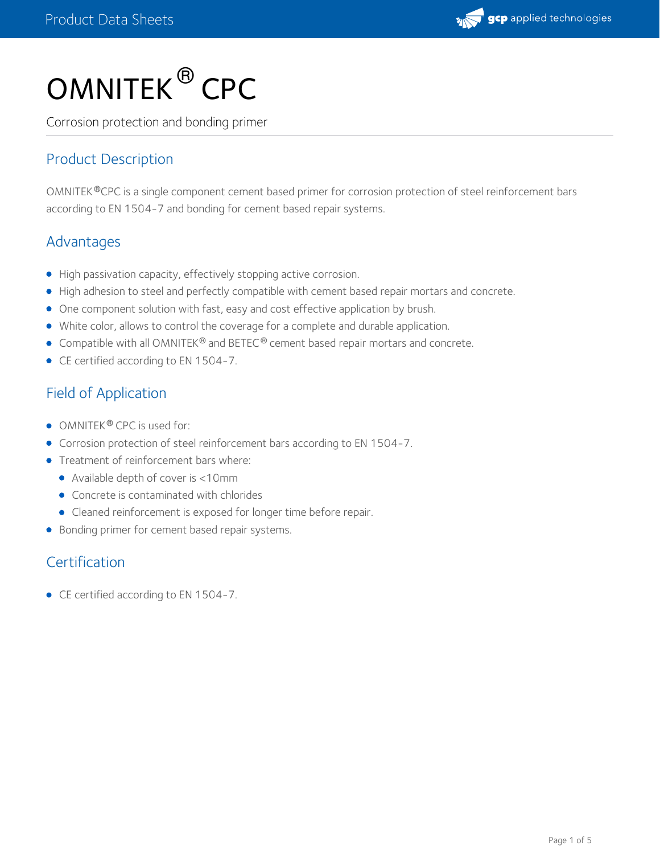

# $\mathsf{OMNITEK}^{\circledR}\mathsf{CPC}$

Corrosion protection and bonding primer

## Product Description

OMNITEK ®CPC is a single component cement based primer for corrosion protection of steel reinforcement bars according to EN 1504-7 and bonding for cement based repair systems.

## Advantages

- High passivation capacity, effectively stopping active corrosion.
- High adhesion to steel and perfectly compatible with cement based repair mortars and concrete.
- One component solution with fast, easy and cost effective application by brush.
- White color, allows to control the coverage for a complete and durable application.
- Compatible with all OMNITEK® and BETEC® cement based repair mortars and concrete.
- CE certified according to EN 1504-7.

## Field of Application

- OMNITEK® CPC is used for:
- Corrosion protection of steel reinforcement bars according to EN 1504-7.
- **•** Treatment of reinforcement bars where:
	- Available depth of cover is <10mm
	- Concrete is contaminated with chlorides
	- Cleaned reinforcement is exposed for longer time before repair.
- **•** Bonding primer for cement based repair systems.

## **Certification**

● CE certified according to EN 1504-7.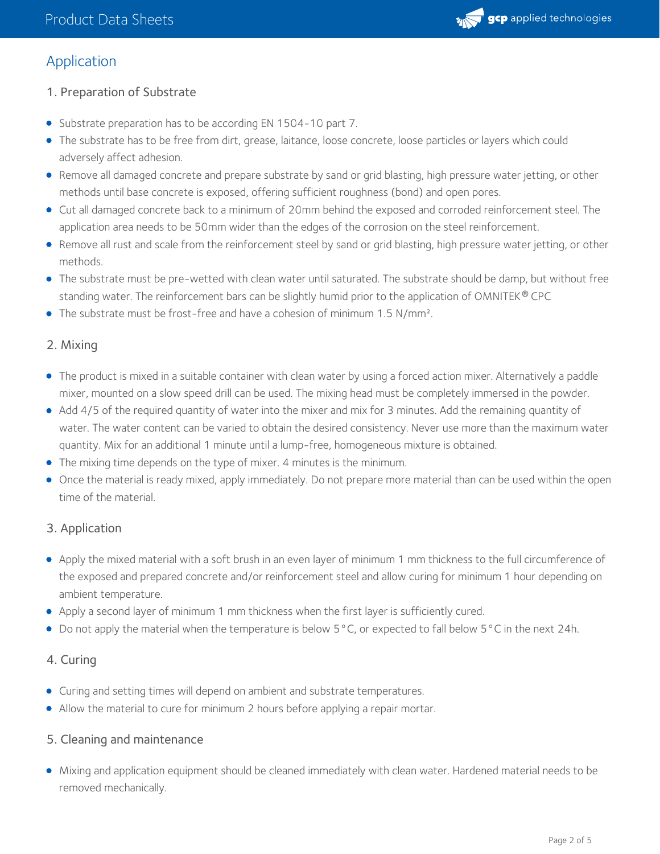

## Application

- 1. Preparation of Substrate
- Substrate preparation has to be according EN 1504-10 part 7.
- The substrate has to be free from dirt, grease, laitance, loose concrete, loose particles or layers which could adversely affect adhesion.
- Remove all damaged concrete and prepare substrate by sand or grid blasting, high pressure water jetting, or other methods until base concrete is exposed, offering sufficient roughness (bond) and open pores.
- Cut all damaged concrete back to a minimum of 20mm behind the exposed and corroded reinforcement steel. The application area needs to be 50mm wider than the edges of the corrosion on the steel reinforcement.
- Remove all rust and scale from the reinforcement steel by sand or grid blasting, high pressure water jetting, or other methods.
- The substrate must be pre-wetted with clean water until saturated. The substrate should be damp, but without free standing water. The reinforcement bars can be slightly humid prior to the application of OMNITEK  $^\circledR$  CPC
- The substrate must be frost-free and have a cohesion of minimum 1.5 N/mm<sup>2</sup>.

#### 2. Mixing

- The product is mixed in a suitable container with clean water by using a forced action mixer. Alternatively a paddle mixer, mounted on a slow speed drill can be used. The mixing head must be completely immersed in the powder.
- Add 4/5 of the required quantity of water into the mixer and mix for 3 minutes. Add the remaining quantity of water. The water content can be varied to obtain the desired consistency. Never use more than the maximum water quantity. Mix for an additional 1 minute until a lump-free, homogeneous mixture is obtained.
- The mixing time depends on the type of mixer. 4 minutes is the minimum.
- Once the material is ready mixed, apply immediately. Do not prepare more material than can be used within the open time of the material.

#### 3. Application

- Apply the mixed material with a soft brush in an even layer of minimum 1mm thickness to the full circumference of the exposed and prepared concrete and/or reinforcement steel and allow curing for minimum 1 hour depending on ambient temperature.
- Apply a second layer of minimum 1mm thickness when the first layer is sufficiently cured.
- Do not apply the material when the temperature is below 5°C, or expected to fall below 5°C in the next 24h.

#### 4. Curing

- Curing and setting times will depend on ambient and substrate temperatures.
- Allow the material to cure for minimum 2 hours before applying a repair mortar.

#### 5. Cleaning and maintenance

Mixing and application equipment should be cleaned immediately with clean water. Hardened material needs to be removed mechanically.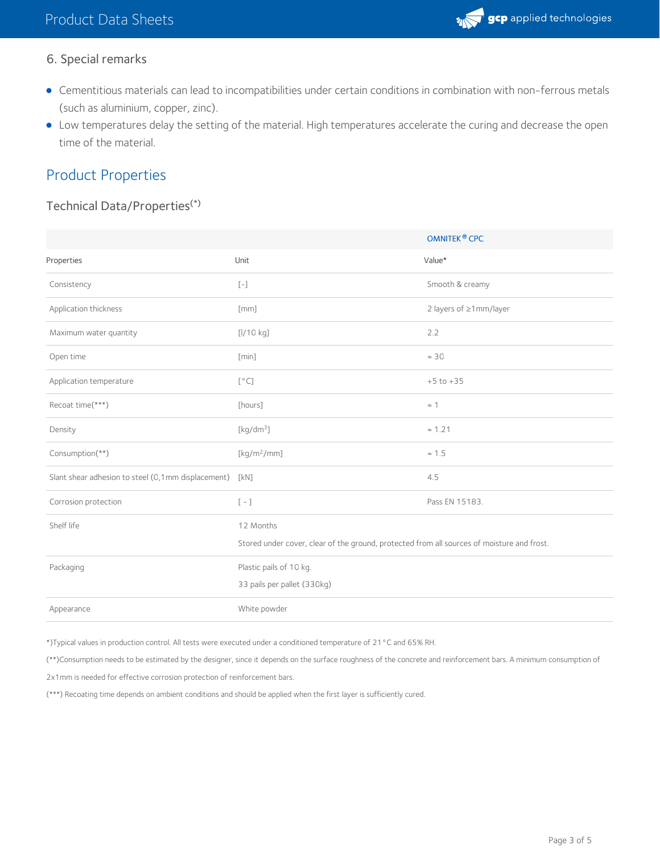

## 6. Special remarks

- Cementitious materials can lead to incompatibilities under certain conditions in combination with non-ferrous metals (such as aluminium, copper, zinc).
- Low temperatures delay the setting of the material. High temperatures accelerate the curing and decrease the open time of the material.

## Product Properties

#### Technical Data/Properties (\*)

|                                                    |                                                                                            | OMNITEK <sup>®</sup> CPC |
|----------------------------------------------------|--------------------------------------------------------------------------------------------|--------------------------|
| Properties                                         | Unit                                                                                       | Value*                   |
| Consistency                                        | $\left[\begin{smallmatrix} - & \\ & - \end{smallmatrix}\right]$                            | Smooth & creamy          |
| Application thickness                              | [mm]                                                                                       | 2 layers of ≥1mm/layer   |
| Maximum water quantity                             | [l/10 kg]                                                                                  | 2.2                      |
| Open time                                          | [min]                                                                                      | $\approx$ 30             |
| Application temperature                            | [°C]                                                                                       | $+5$ to $+35$            |
| Recoat time(***)                                   | [hours]                                                                                    | $\approx$ 1              |
| Density                                            | [ $kg/dm3$ ]                                                                               | $\approx 1.21$           |
| Consumption(**)                                    | $[kg/m^2/mm]$                                                                              | $\approx 1.5$            |
| Slant shear adhesion to steel (0,1mm displacement) | [kN]                                                                                       | 4.5                      |
| Corrosion protection                               | $[-]$                                                                                      | Pass EN 15183.           |
| Shelf life                                         | 12 Months                                                                                  |                          |
|                                                    | Stored under cover, clear of the ground, protected from all sources of moisture and frost. |                          |
| Packaging                                          | Plastic pails of 10 kg.                                                                    |                          |
|                                                    | 33 pails per pallet (330kg)                                                                |                          |
| Appearance                                         | White powder                                                                               |                          |

\*)Typical values in production control. All tests were executed under a conditioned temperature of 21°C and 65% RH.

(\*\*)Consumption needs to be estimated by the designer, since it depends on the surface roughness of the concrete and reinforcement bars. A minimum consumption of

2x1mm is needed for effective corrosion protection of reinforcement bars.

(\*\*\*) Recoating time depends on ambient conditions and should be applied when the first layer is sufficiently cured.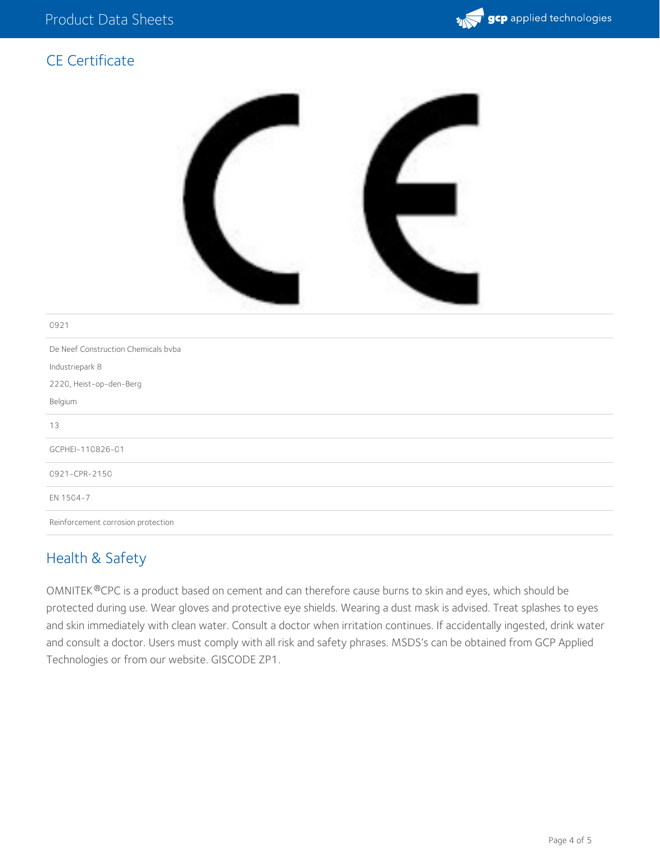

## CE Certificate



#### 0921

De Neef Construction Chemicals bvba Industriepark 8 2220, Heist-op-den-Berg Belgium 13 GCPHEI-110826-01 0921-CPR-2150 EN 1504-7 Reinforcement corrosion protection

### Health & Safety

OMNITEK ®CPC is a product based on cement and can therefore cause burns to skin and eyes, which should be protected during use. Wear gloves and protective eye shields. Wearing a dust mask is advised. Treat splashes to eyes and skin immediately with clean water. Consult a doctor when irritation continues. If accidentally ingested, drink water and consult a doctor. Users must comply with all risk and safety phrases. MSDS's can be obtained from GCP Applied Technologies or from our website. GISCODE ZP1.